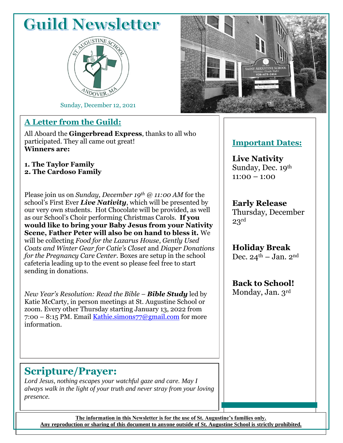# **Guild Newsletter**



Sunday, December 12, 2021

### **A Letter from the Guild:**

All Aboard the **Gingerbread Express**, thanks to all who participated. They all came out great! **Winners are:**

**1. The Taylor Family 2. The Cardoso Family**

Please join us on *Sunday, December 19th @ 11:00 AM* for the school's First Ever *Live Nativity*, which will be presented by our very own students. Hot Chocolate will be provided, as well as our School's Choir performing Christmas Carols. **If you would like to bring your Baby Jesus from your Nativity Scene, Father Peter will also be on hand to bless it.** We will be collecting *Food for the Lazarus House*, *Gently Used Coats and Winter Gear for Catie's Closet* and *Diaper Donations for the Pregnancy Care Center*. Boxes are setup in the school cafeteria leading up to the event so please feel free to start sending in donations.

*New Year's Resolution: Read the Bible* – *Bible Study* led by Katie McCarty, in person meetings at St. Augustine School or zoom. Every other Thursday starting January 13, 2022 from  $7:00 - 8:15$  PM. Email Kathie.simons $77$ @gmail.com for more information.

### **Important Dates:**

**Live Nativity**  Sunday, Dec. 19th  $11:00 - 1:00$ 

**Early Release** Thursday, December 23rd

**Holiday Break** Dec.  $24^{\text{th}}$  – Jan. 2<sup>nd</sup>

**Back to School!**

Monday, Jan. 3rd

## **Scripture/Prayer:**

*Lord Jesus, nothing escapes your watchful gaze and care. May I always walk in the light of your truth and never stray from your loving presence.*

**The information in this Newsletter is for the use of St. Augustine's families only. Any reproduction or sharing of this document to anyone outside of St. Augustine School is strictly prohibited.**